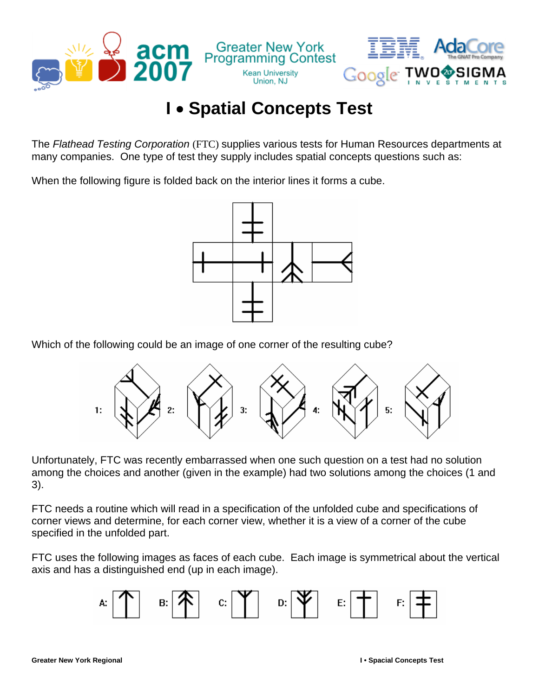

## **I** • **Spatial Concepts Test**

The *Flathead Testing Corporation* (FTC) supplies various tests for Human Resources departments at many companies. One type of test they supply includes spatial concepts questions such as:

When the following figure is folded back on the interior lines it forms a cube.



Which of the following could be an image of one corner of the resulting cube?



Unfortunately, FTC was recently embarrassed when one such question on a test had no solution among the choices and another (given in the example) had two solutions among the choices (1 and 3).

FTC needs a routine which will read in a specification of the unfolded cube and specifications of corner views and determine, for each corner view, whether it is a view of a corner of the cube specified in the unfolded part.

FTC uses the following images as faces of each cube. Each image is symmetrical about the vertical axis and has a distinguished end (up in each image).

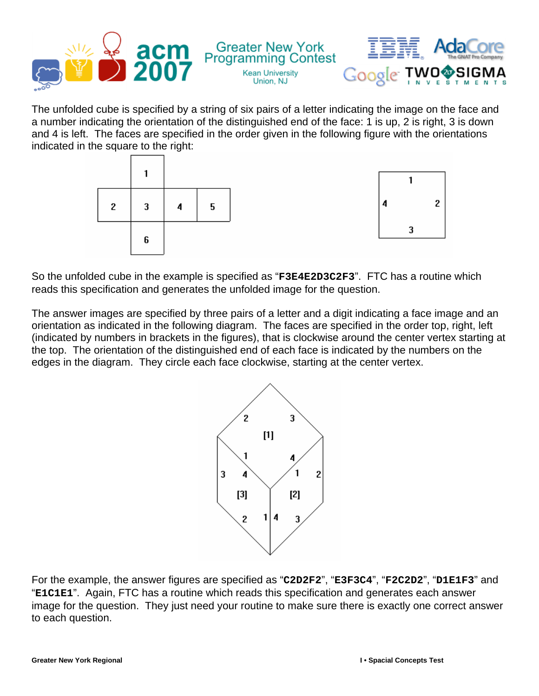

The unfolded cube is specified by a string of six pairs of a letter indicating the image on the face and a number indicating the orientation of the distinguished end of the face: 1 is up, 2 is right, 3 is down and 4 is left. The faces are specified in the order given in the following figure with the orientations indicated in the square to the right:





So the unfolded cube in the example is specified as "**F3E4E2D3C2F3**". FTC has a routine which reads this specification and generates the unfolded image for the question.

The answer images are specified by three pairs of a letter and a digit indicating a face image and an orientation as indicated in the following diagram. The faces are specified in the order top, right, left (indicated by numbers in brackets in the figures), that is clockwise around the center vertex starting at the top. The orientation of the distinguished end of each face is indicated by the numbers on the edges in the diagram. They circle each face clockwise, starting at the center vertex.



For the example, the answer figures are specified as "**C2D2F2**", "**E3F3C4**", "**F2C2D2**", "**D1E1F3**" and "**E1C1E1**". Again, FTC has a routine which reads this specification and generates each answer image for the question. They just need your routine to make sure there is exactly one correct answer to each question.